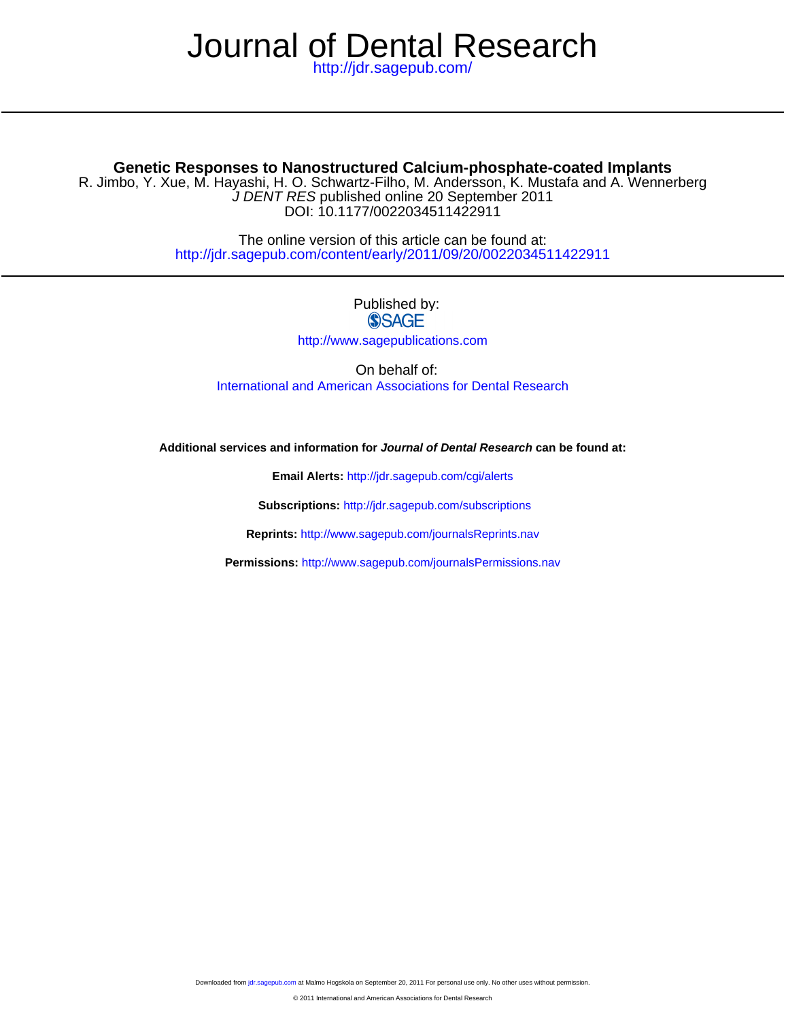# Journal of Dental Research

<http://jdr.sagepub.com/>

# **Genetic Responses to Nanostructured Calcium-phosphate-coated Implants**

DOI: 10.1177/0022034511422911 J DENT RES published online 20 September 2011 R. Jimbo, Y. Xue, M. Hayashi, H. O. Schwartz-Filho, M. Andersson, K. Mustafa and A. Wennerberg

> <http://jdr.sagepub.com/content/early/2011/09/20/0022034511422911> The online version of this article can be found at:

# Published by: **SSAGE**

<http://www.sagepublications.com>

On behalf of: [International and American Associations for Dental Research](http://www.dentalresearch.org/i4a/pages/index.cfm?pageid=3533)

**Additional services and information for Journal of Dental Research can be found at:**

**Email Alerts:** <http://jdr.sagepub.com/cgi/alerts>

**Subscriptions:** <http://jdr.sagepub.com/subscriptions>

**Reprints:** <http://www.sagepub.com/journalsReprints.nav>

**Permissions:** <http://www.sagepub.com/journalsPermissions.nav>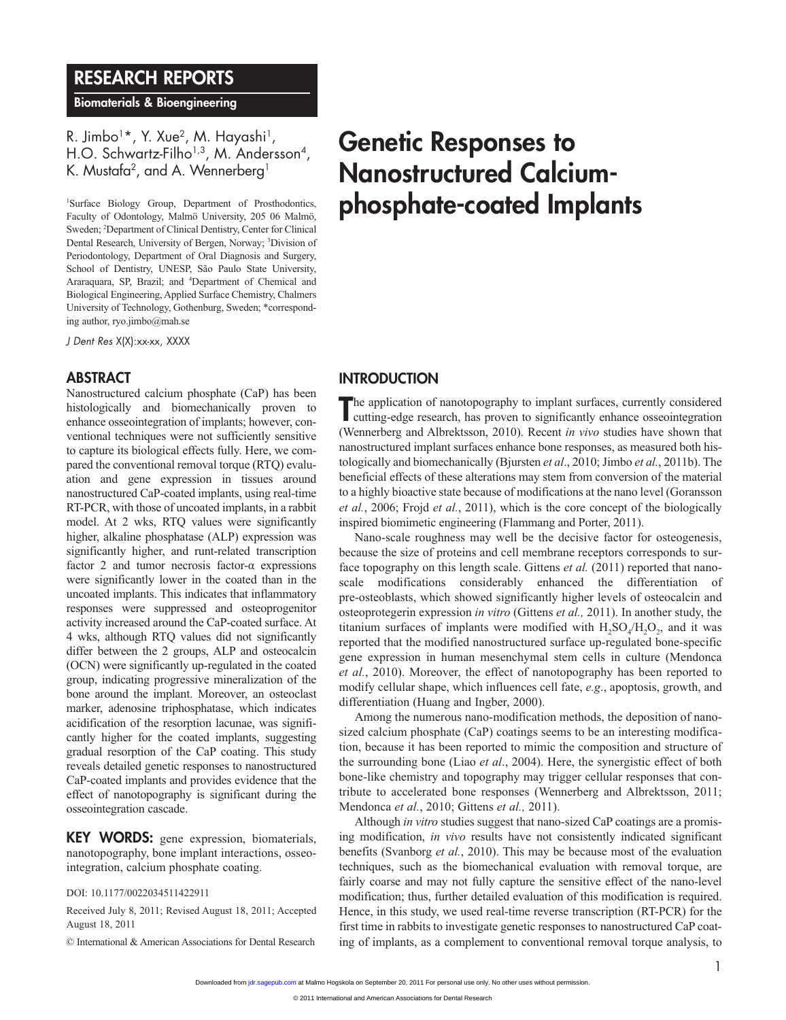# RESEARCH REPORTS

Biomaterials & Bioengineering

R. Jimbo<sup>1</sup>\*, Y. Xue<sup>2</sup>, M. Hayashi<sup>1</sup>, H.O. Schwartz-Filho<sup>1,3</sup>, M. Andersson<sup>4</sup>, K. Mustafa $^2$ , and A. Wennerberg $^1$ 

1 Surface Biology Group, Department of Prosthodontics, Faculty of Odontology, Malmö University, 205 06 Malmö, Sweden; <sup>2</sup>Department of Clinical Dentistry, Center for Clinical Dental Research, University of Bergen, Norway; <sup>3</sup>Division of Periodontology, Department of Oral Diagnosis and Surgery, School of Dentistry, UNESP, São Paulo State University, Araraquara, SP, Brazil; and <sup>4</sup>Department of Chemical and Biological Engineering, Applied Surface Chemistry, Chalmers University of Technology, Gothenburg, Sweden; \*corresponding author, ryo.jimbo@mah.se

*J Dent Res* X(X):xx-xx, XXXX

#### **ABSTRACT**

Nanostructured calcium phosphate (CaP) has been histologically and biomechanically proven to enhance osseointegration of implants; however, conventional techniques were not sufficiently sensitive to capture its biological effects fully. Here, we compared the conventional removal torque (RTQ) evaluation and gene expression in tissues around nanostructured CaP-coated implants, using real-time RT-PCR, with those of uncoated implants, in a rabbit model. At 2 wks, RTQ values were significantly higher, alkaline phosphatase (ALP) expression was significantly higher, and runt-related transcription factor 2 and tumor necrosis factor-α expressions were significantly lower in the coated than in the uncoated implants. This indicates that inflammatory responses were suppressed and osteoprogenitor activity increased around the CaP-coated surface. At 4 wks, although RTQ values did not significantly differ between the 2 groups, ALP and osteocalcin (OCN) were significantly up-regulated in the coated group, indicating progressive mineralization of the bone around the implant. Moreover, an osteoclast marker, adenosine triphosphatase, which indicates acidification of the resorption lacunae, was significantly higher for the coated implants, suggesting gradual resorption of the CaP coating. This study reveals detailed genetic responses to nanostructured CaP-coated implants and provides evidence that the effect of nanotopography is significant during the osseointegration cascade.

KEY WORDS: gene expression, biomaterials, nanotopography, bone implant interactions, osseointegration, calcium phosphate coating.

DOI: 10.1177/0022034511422911

Received July 8, 2011; Revised August 18, 2011; Accepted August 18, 2011

© International & American Associations for Dental Research

# Genetic Responses to Nanostructured Calciumphosphate-coated Implants

## **INTRODUCTION**

The application of nanotopography to implant surfaces, currently considered cutting-edge research, has proven to significantly enhance osseointegration cutting-edge research, has proven to significantly enhance osseointegration (Wennerberg and Albrektsson, 2010). Recent *in vivo* studies have shown that nanostructured implant surfaces enhance bone responses, as measured both histologically and biomechanically (Bjursten *et al*., 2010; Jimbo *et al.*, 2011b). The beneficial effects of these alterations may stem from conversion of the material to a highly bioactive state because of modifications at the nano level (Goransson *et al.*, 2006; Frojd *et al.*, 2011), which is the core concept of the biologically inspired biomimetic engineering (Flammang and Porter, 2011).

Nano-scale roughness may well be the decisive factor for osteogenesis, because the size of proteins and cell membrane receptors corresponds to surface topography on this length scale. Gittens *et al.* (2011) reported that nanoscale modifications considerably enhanced the differentiation of pre-osteoblasts, which showed significantly higher levels of osteocalcin and osteoprotegerin expression *in vitro* (Gittens *et al.,* 2011). In another study, the titanium surfaces of implants were modified with  $H$ <sub>2</sub>SO<sub>4</sub>/H<sub>2</sub>O<sub>2</sub>, and it was reported that the modified nanostructured surface up-regulated bone-specific gene expression in human mesenchymal stem cells in culture (Mendonca *et al.*, 2010). Moreover, the effect of nanotopography has been reported to modify cellular shape, which influences cell fate, *e.g*., apoptosis, growth, and differentiation (Huang and Ingber, 2000).

Among the numerous nano-modification methods, the deposition of nanosized calcium phosphate (CaP) coatings seems to be an interesting modification, because it has been reported to mimic the composition and structure of the surrounding bone (Liao *et al*., 2004). Here, the synergistic effect of both bone-like chemistry and topography may trigger cellular responses that contribute to accelerated bone responses (Wennerberg and Albrektsson, 2011; Mendonca *et al.*, 2010; Gittens *et al.,* 2011).

Although *in vitro* studies suggest that nano-sized CaP coatings are a promising modification, *in vivo* results have not consistently indicated significant benefits (Svanborg *et al.*, 2010). This may be because most of the evaluation techniques, such as the biomechanical evaluation with removal torque, are fairly coarse and may not fully capture the sensitive effect of the nano-level modification; thus, further detailed evaluation of this modification is required. Hence, in this study, we used real-time reverse transcription (RT-PCR) for the first time in rabbits to investigate genetic responses to nanostructured CaP coating of implants, as a complement to conventional removal torque analysis, to

Downloaded from [jdr.sagepub.com a](http://jdr.sagepub.com/)t Malmo Hogskola on September 20, 2011 For personal use only. No other uses without permission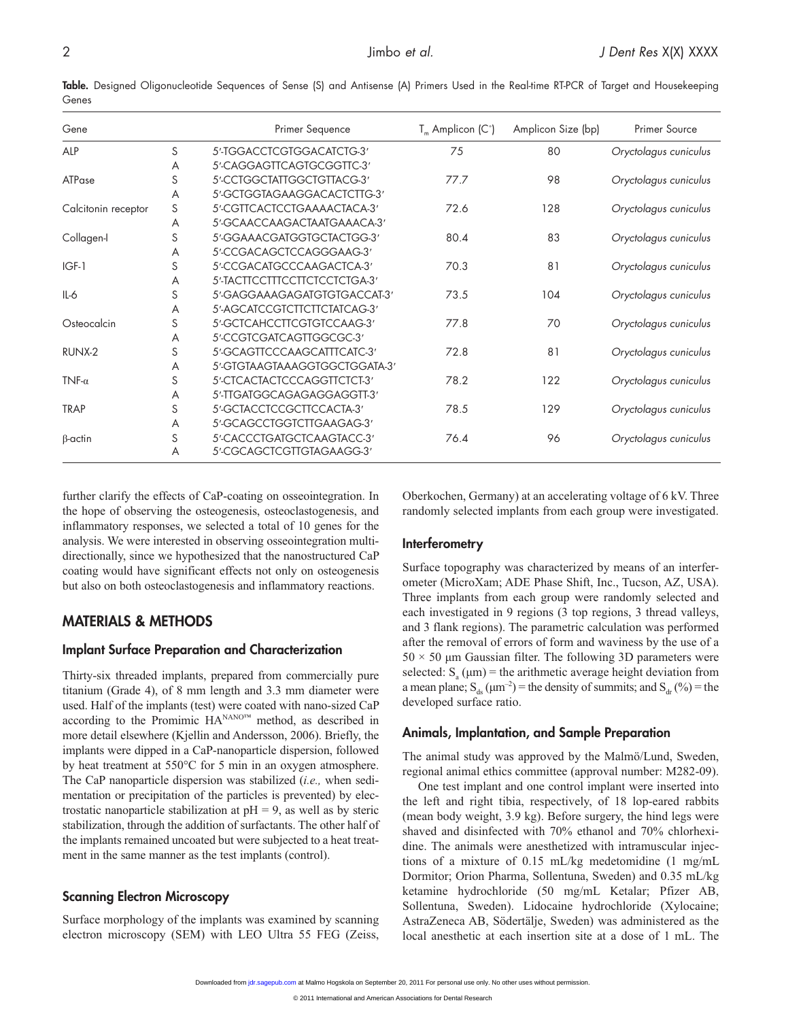Table. Designed Oligonucleotide Sequences of Sense (S) and Antisense (A) Primers Used in the Real-time RT-PCR of Target and Housekeeping Genes

| Gene                |   | Primer Sequence               | $T_m$ Amplicon (C°) | Amplicon Size (bp) | <b>Primer Source</b>  |
|---------------------|---|-------------------------------|---------------------|--------------------|-----------------------|
| ALP                 | S | 5'-TGGACCTCGTGGACATCTG-3'     | 75                  | 80                 | Oryctolagus cuniculus |
|                     | A | 5'-CAGGAGTTCAGTGCGGTTC-3'     |                     |                    |                       |
| ATPase              | S | 5'-CCTGGCTATTGGCTGTTACG-3'    | 77.7                | 98                 | Oryctolagus cuniculus |
|                     | A | 5'-GCTGGTAGAAGGACACTCTTG-3'   |                     |                    |                       |
| Calcitonin receptor | S | 5'-CGTTCACTCCTGAAAACTACA-3'   | 72.6                | 128                | Oryctolagus cuniculus |
|                     | A | 5'-GCAACCAAGACTAATGAAACA-3'   |                     |                    |                       |
| Collagen-I          | S | 5'-GGAAACGATGGTGCTACTGG-3'    | 80.4                | 83                 | Oryctolagus cuniculus |
|                     | A | 5'-CCGACAGCTCCAGGGAAG-3'      |                     |                    |                       |
| $IGF-1$             | S | 5'-CCGACATGCCCAAGACTCA-3'     | 70.3                | 81                 | Oryctolagus cuniculus |
|                     | A | 5'-TACTTCCTTTCCTTCTCCTCTGA-3' |                     |                    |                       |
| $IL-6$              | S | 5'-GAGGAAAGAGATGTGTGACCAT-3'  | 73.5                | 104                | Oryctolagus cuniculus |
|                     | A | 5'-AGCATCCGTCTTCTTCTATCAG-3'  |                     |                    |                       |
| Osteocalcin         | S | 5'-GCTCAHCCTTCGTGTCCAAG-3'    | 77.8                | 70                 | Oryctolagus cuniculus |
|                     | A | 5'-CCGTCGATCAGTTGGCGC-3'      |                     |                    |                       |
| RUNX-2              | S | 5'-GCAGTTCCCAAGCATTTCATC-3'   | 72.8                | 81                 | Oryctolagus cuniculus |
|                     | A | 5'-GTGTAAGTAAAGGTGGCTGGATA-3' |                     |                    |                       |
| TNF- $\alpha$       | S | 5'-CTCACTACTCCCAGGTTCTCT-3'   | 78.2                | 122                | Oryctolagus cuniculus |
|                     | A | 5'-TTGATGGCAGAGAGGAGGTT-3'    |                     |                    |                       |
| <b>TRAP</b>         | S | 5'-GCTACCTCCGCTTCCACTA-3'     | 78.5                | 129                | Oryctolagus cuniculus |
|                     | A | 5'-GCAGCCTGGTCTTGAAGAG-3'     |                     |                    |                       |
| $\beta$ -actin      | S | 5'-CACCCTGATGCTCAAGTACC-3'    | 764                 | 96                 | Oryctolagus cuniculus |
|                     | A | 5'-CGCAGCTCGTTGTAGAAGG-3'     |                     |                    |                       |

further clarify the effects of CaP-coating on osseointegration. In the hope of observing the osteogenesis, osteoclastogenesis, and inflammatory responses, we selected a total of 10 genes for the analysis. We were interested in observing osseointegration multidirectionally, since we hypothesized that the nanostructured CaP coating would have significant effects not only on osteogenesis but also on both osteoclastogenesis and inflammatory reactions.

# Materials & Methods

#### Implant Surface Preparation and Characterization

Thirty-six threaded implants, prepared from commercially pure titanium (Grade 4), of 8 mm length and 3.3 mm diameter were used. Half of the implants (test) were coated with nano-sized CaP according to the Promimic HANANO™ method, as described in more detail elsewhere (Kjellin and Andersson, 2006). Briefly, the implants were dipped in a CaP-nanoparticle dispersion, followed by heat treatment at 550°C for 5 min in an oxygen atmosphere. The CaP nanoparticle dispersion was stabilized (*i.e.,* when sedimentation or precipitation of the particles is prevented) by electrostatic nanoparticle stabilization at  $pH = 9$ , as well as by steric stabilization, through the addition of surfactants. The other half of the implants remained uncoated but were subjected to a heat treatment in the same manner as the test implants (control).

#### Scanning Electron Microscopy

Surface morphology of the implants was examined by scanning electron microscopy (SEM) with LEO Ultra 55 FEG (Zeiss, Oberkochen, Germany) at an accelerating voltage of 6 kV. Three randomly selected implants from each group were investigated.

#### **Interferometry**

Surface topography was characterized by means of an interferometer (MicroXam; ADE Phase Shift, Inc., Tucson, AZ, USA). Three implants from each group were randomly selected and each investigated in 9 regions (3 top regions, 3 thread valleys, and 3 flank regions). The parametric calculation was performed after the removal of errors of form and waviness by the use of a  $50 \times 50$  µm Gaussian filter. The following 3D parameters were selected:  $S_a$  ( $\mu$ m) = the arithmetic average height deviation from a mean plane;  $S_{ds}(\mu m^{-2})$  = the density of summits; and  $S_{dr}(\% )$  = the developed surface ratio.

#### Animals, Implantation, and Sample Preparation

The animal study was approved by the Malmö/Lund, Sweden, regional animal ethics committee (approval number: M282-09).

One test implant and one control implant were inserted into the left and right tibia, respectively, of 18 lop-eared rabbits (mean body weight, 3.9 kg). Before surgery, the hind legs were shaved and disinfected with 70% ethanol and 70% chlorhexidine. The animals were anesthetized with intramuscular injections of a mixture of 0.15 mL/kg medetomidine (1 mg/mL Dormitor; Orion Pharma, Sollentuna, Sweden) and 0.35 mL/kg ketamine hydrochloride (50 mg/mL Ketalar; Pfizer AB, Sollentuna, Sweden). Lidocaine hydrochloride (Xylocaine; AstraZeneca AB, Södertälje, Sweden) was administered as the local anesthetic at each insertion site at a dose of 1 mL. The

Downloaded from [jdr.sagepub.com a](http://jdr.sagepub.com/)t Malmo Hogskola on September 20, 2011 For personal use only. No other uses without permission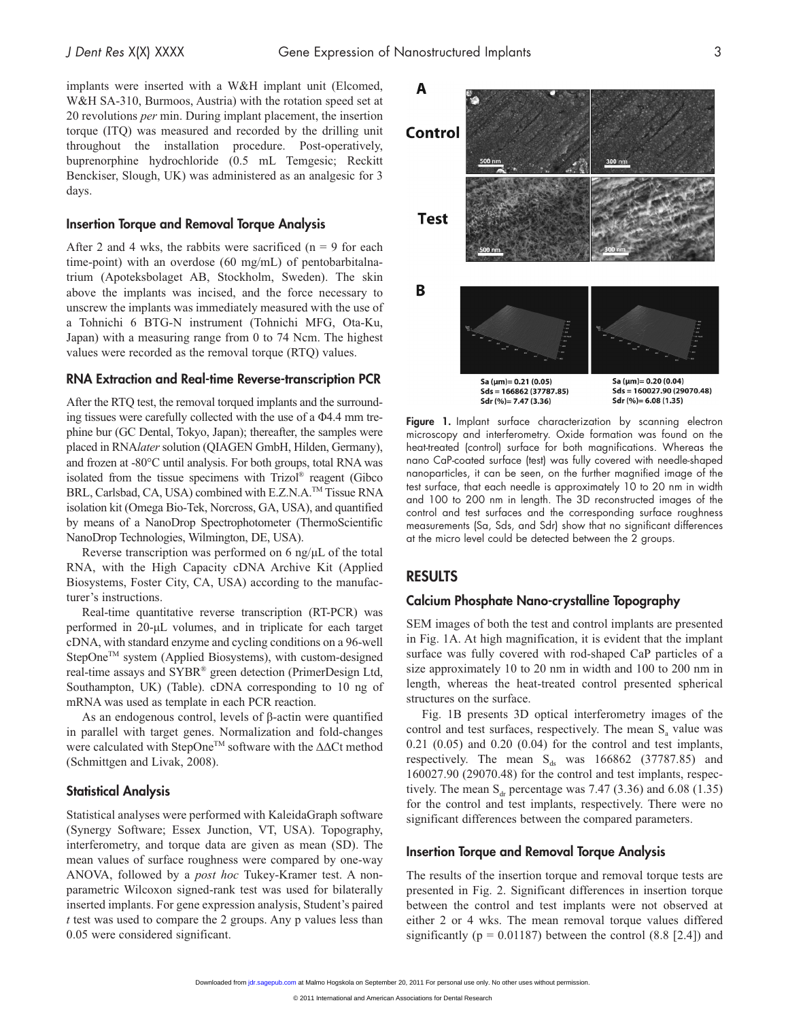implants were inserted with a W&H implant unit (Elcomed, W&H SA-310, Burmoos, Austria) with the rotation speed set at 20 revolutions *per* min. During implant placement, the insertion torque (ITQ) was measured and recorded by the drilling unit throughout the installation procedure. Post-operatively, buprenorphine hydrochloride (0.5 mL Temgesic; Reckitt Benckiser, Slough, UK) was administered as an analgesic for 3 days.

#### Insertion Torque and Removal Torque Analysis

After 2 and 4 wks, the rabbits were sacrificed  $(n = 9)$  for each time-point) with an overdose (60 mg/mL) of pentobarbitalnatrium (Apoteksbolaget AB, Stockholm, Sweden). The skin above the implants was incised, and the force necessary to unscrew the implants was immediately measured with the use of a Tohnichi 6 BTG-N instrument (Tohnichi MFG, Ota-Ku, Japan) with a measuring range from 0 to 74 Ncm. The highest values were recorded as the removal torque (RTQ) values.

#### RNA Extraction and Real-time Reverse-transcription PCR

After the RTQ test, the removal torqued implants and the surrounding tissues were carefully collected with the use of a Φ4.4 mm trephine bur (GC Dental, Tokyo, Japan); thereafter, the samples were placed in RNA*later* solution (QIAGEN GmbH, Hilden, Germany), and frozen at -80°C until analysis. For both groups, total RNA was isolated from the tissue specimens with Trizol® reagent (Gibco BRL, Carlsbad, CA, USA) combined with E.Z.N.A.<sup>™</sup> Tissue RNA isolation kit (Omega Bio-Tek, Norcross, GA, USA), and quantified by means of a NanoDrop Spectrophotometer (ThermoScientific NanoDrop Technologies, Wilmington, DE, USA).

Reverse transcription was performed on 6 ng/µL of the total RNA, with the High Capacity cDNA Archive Kit (Applied Biosystems, Foster City, CA, USA) according to the manufacturer's instructions.

Real-time quantitative reverse transcription (RT-PCR) was performed in 20-µL volumes, and in triplicate for each target cDNA, with standard enzyme and cycling conditions on a 96-well StepOne<sup>™</sup> system (Applied Biosystems), with custom-designed real-time assays and SYBR® green detection (PrimerDesign Ltd, Southampton, UK) (Table). cDNA corresponding to 10 ng of mRNA was used as template in each PCR reaction.

As an endogenous control, levels of β-actin were quantified in parallel with target genes. Normalization and fold-changes were calculated with StepOne<sup>TM</sup> software with the  $\Delta\Delta$ Ct method (Schmittgen and Livak, 2008).

#### Statistical Analysis

Statistical analyses were performed with KaleidaGraph software (Synergy Software; Essex Junction, VT, USA). Topography, interferometry, and torque data are given as mean (SD). The mean values of surface roughness were compared by one-way ANOVA, followed by a *post hoc* Tukey-Kramer test. A nonparametric Wilcoxon signed-rank test was used for bilaterally inserted implants. For gene expression analysis, Student's paired *t* test was used to compare the 2 groups. Any p values less than 0.05 were considered significant.



Figure 1. Implant surface characterization by scanning electron microscopy and interferometry. Oxide formation was found on the heat-treated (control) surface for both magnifications. Whereas the nano CaP-coated surface (test) was fully covered with needle-shaped nanoparticles, it can be seen, on the further magnified image of the test surface, that each needle is approximately 10 to 20 nm in width and 100 to 200 nm in length. The 3D reconstructed images of the control and test surfaces and the corresponding surface roughness measurements (Sa, Sds, and Sdr) show that no significant differences at the micro level could be detected between the 2 groups.

#### **RESULTS**

#### Calcium Phosphate Nano-crystalline Topography

SEM images of both the test and control implants are presented in Fig. 1A. At high magnification, it is evident that the implant surface was fully covered with rod-shaped CaP particles of a size approximately 10 to 20 nm in width and 100 to 200 nm in length, whereas the heat-treated control presented spherical structures on the surface.

Fig. 1B presents 3D optical interferometry images of the control and test surfaces, respectively. The mean  $S<sub>a</sub>$  value was 0.21 (0.05) and 0.20 (0.04) for the control and test implants, respectively. The mean  $S_{ds}$  was 166862 (37787.85) and 160027.90 (29070.48) for the control and test implants, respectively. The mean  $S_{dr}$  percentage was 7.47 (3.36) and 6.08 (1.35) for the control and test implants, respectively. There were no significant differences between the compared parameters.

### Insertion Torque and Removal Torque Analysis

The results of the insertion torque and removal torque tests are presented in Fig. 2. Significant differences in insertion torque between the control and test implants were not observed at either 2 or 4 wks. The mean removal torque values differed significantly ( $p = 0.01187$ ) between the control (8.8 [2.4]) and

Downloaded from [jdr.sagepub.com a](http://jdr.sagepub.com/)t Malmo Hogskola on September 20, 2011 For personal use only. No other uses without permission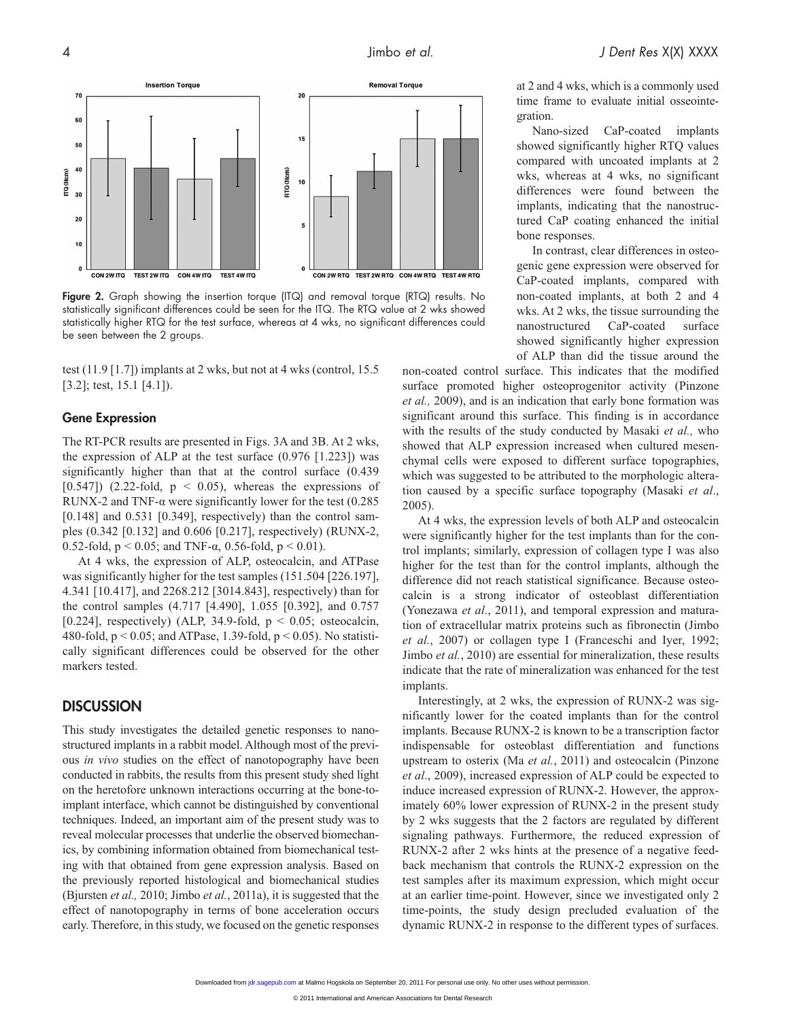

Figure 2. Graph showing the insertion torque (ITQ) and removal torque (RTQ) results. No statistically significant differences could be seen for the ITQ. The RTQ value at 2 wks showed statistically higher RTQ for the test surface, whereas at 4 wks, no significant differences could be seen between the 2 groups.

test (11.9 [1.7]) implants at 2 wks, but not at 4 wks (control, 15.5 [3.2]; test, 15.1 [4.1]).

#### Gene Expression

The RT-PCR results are presented in Figs. 3A and 3B. At 2 wks, the expression of ALP at the test surface  $(0.976 \; [1.223])$  was significantly higher than that at the control surface (0.439 [0.547]) (2.22-fold,  $p \le 0.05$ ), whereas the expressions of RUNX-2 and TNF- $\alpha$  were significantly lower for the test (0.285)  $[0.148]$  and  $[0.531]$   $[0.349]$ , respectively) than the control samples (0.342 [0.132] and 0.606 [0.217], respectively) (RUNX-2, 0.52-fold,  $p < 0.05$ ; and TNF-α, 0.56-fold,  $p < 0.01$ ).

At 4 wks, the expression of ALP, osteocalcin, and ATPase was significantly higher for the test samples (151.504 [226.197], 4.341 [10.417], and 2268.212 [3014.843], respectively) than for the control samples (4.717 [4.490], 1.055 [0.392], and 0.757 [0.224], respectively) (ALP, 34.9-fold,  $p < 0.05$ ; osteocalcin, 480-fold,  $p < 0.05$ ; and ATPase, 1.39-fold,  $p < 0.05$ ). No statistically significant differences could be observed for the other markers tested.

# **DISCUSSION**

This study investigates the detailed genetic responses to nanostructured implants in a rabbit model. Although most of the previous *in vivo* studies on the effect of nanotopography have been conducted in rabbits, the results from this present study shed light on the heretofore unknown interactions occurring at the bone-toimplant interface, which cannot be distinguished by conventional techniques. Indeed, an important aim of the present study was to reveal molecular processes that underlie the observed biomechanics, by combining information obtained from biomechanical testing with that obtained from gene expression analysis. Based on the previously reported histological and biomechanical studies (Bjursten *et al.,* 2010; Jimbo *et al.*, 2011a), it is suggested that the effect of nanotopography in terms of bone acceleration occurs early. Therefore, in this study, we focused on the genetic responses at 2 and 4 wks, which is a commonly used time frame to evaluate initial osseointegration.

Nano-sized CaP-coated implants showed significantly higher RTQ values compared with uncoated implants at 2 wks, whereas at 4 wks, no significant differences were found between the implants, indicating that the nanostructured CaP coating enhanced the initial bone responses.

In contrast, clear differences in osteogenic gene expression were observed for CaP-coated implants, compared with non-coated implants, at both 2 and 4 wks. At 2 wks, the tissue surrounding the nanostructured CaP-coated surface showed significantly higher expression of ALP than did the tissue around the

non-coated control surface. This indicates that the modified surface promoted higher osteoprogenitor activity (Pinzone *et al.,* 2009), and is an indication that early bone formation was significant around this surface. This finding is in accordance with the results of the study conducted by Masaki *et al.,* who showed that ALP expression increased when cultured mesenchymal cells were exposed to different surface topographies, which was suggested to be attributed to the morphologic alteration caused by a specific surface topography (Masaki *et al*., 2005).

At 4 wks, the expression levels of both ALP and osteocalcin were significantly higher for the test implants than for the control implants; similarly, expression of collagen type I was also higher for the test than for the control implants, although the difference did not reach statistical significance. Because osteocalcin is a strong indicator of osteoblast differentiation (Yonezawa *et al*., 2011), and temporal expression and maturation of extracellular matrix proteins such as fibronectin (Jimbo *et al.*, 2007) or collagen type I (Franceschi and Iyer, 1992; Jimbo *et al.*, 2010) are essential for mineralization, these results indicate that the rate of mineralization was enhanced for the test implants.

Interestingly, at 2 wks, the expression of RUNX-2 was significantly lower for the coated implants than for the control implants. Because RUNX-2 is known to be a transcription factor indispensable for osteoblast differentiation and functions upstream to osterix (Ma *et al.*, 2011) and osteocalcin (Pinzone *et al*., 2009), increased expression of ALP could be expected to induce increased expression of RUNX-2. However, the approximately 60% lower expression of RUNX-2 in the present study by 2 wks suggests that the 2 factors are regulated by different signaling pathways. Furthermore, the reduced expression of RUNX-2 after 2 wks hints at the presence of a negative feedback mechanism that controls the RUNX-2 expression on the test samples after its maximum expression, which might occur at an earlier time-point. However, since we investigated only 2 time-points, the study design precluded evaluation of the dynamic RUNX-2 in response to the different types of surfaces.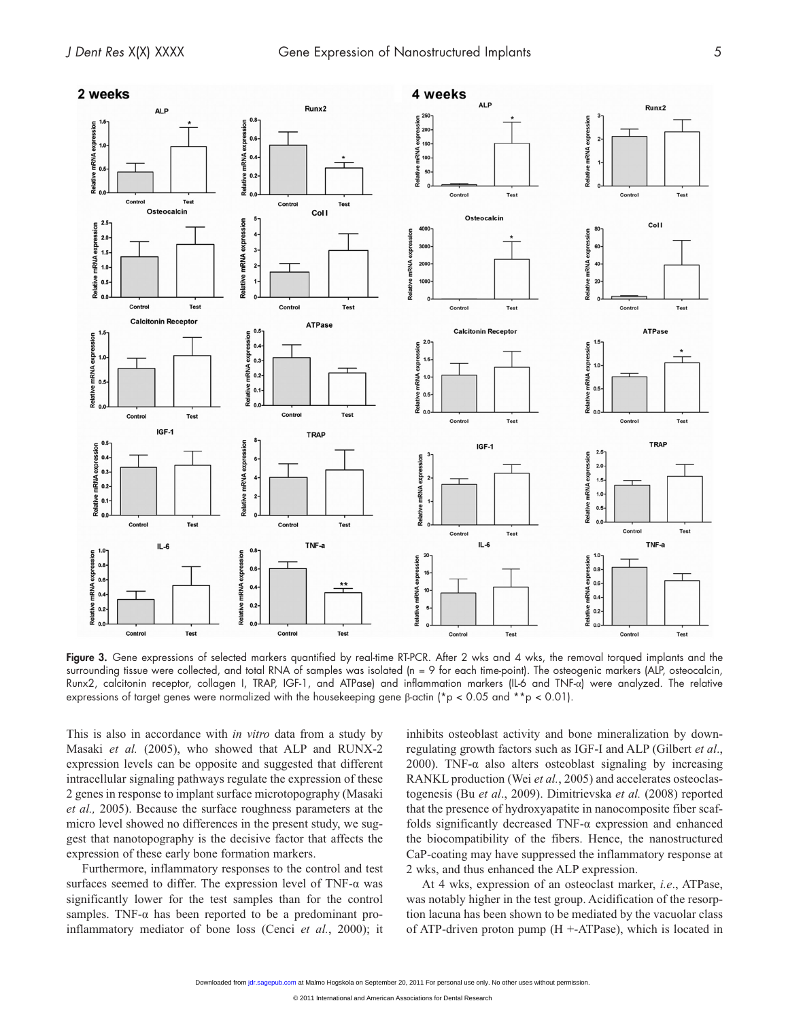

Figure 3. Gene expressions of selected markers quantified by real-time RT-PCR. After 2 wks and 4 wks, the removal torqued implants and the surrounding tissue were collected, and total RNA of samples was isolated (n = 9 for each time-point). The osteogenic markers (ALP, osteocalcin, Runx2, calcitonin receptor, collagen I, TRAP, IGF-1, and ATPase) and inflammation markers (IL-6 and TNF-α) were analyzed. The relative expressions of target genes were normalized with the housekeeping gene β-actin (\*p < 0.05 and \*\*p < 0.01).

This is also in accordance with *in vitro* data from a study by Masaki *et al.* (2005), who showed that ALP and RUNX-2 expression levels can be opposite and suggested that different intracellular signaling pathways regulate the expression of these 2 genes in response to implant surface microtopography (Masaki *et al.,* 2005). Because the surface roughness parameters at the micro level showed no differences in the present study, we suggest that nanotopography is the decisive factor that affects the expression of these early bone formation markers.

Furthermore, inflammatory responses to the control and test surfaces seemed to differ. The expression level of TNF-α was significantly lower for the test samples than for the control samples. TNF- $\alpha$  has been reported to be a predominant proinflammatory mediator of bone loss (Cenci *et al.*, 2000); it inhibits osteoblast activity and bone mineralization by downregulating growth factors such as IGF-I and ALP (Gilbert *et al*., 2000). TNF- $\alpha$  also alters osteoblast signaling by increasing RANKL production (Wei *et al.*, 2005) and accelerates osteoclastogenesis (Bu *et al*., 2009). Dimitrievska *et al.* (2008) reported that the presence of hydroxyapatite in nanocomposite fiber scaffolds significantly decreased TNF-α expression and enhanced the biocompatibility of the fibers. Hence, the nanostructured CaP-coating may have suppressed the inflammatory response at 2 wks, and thus enhanced the ALP expression.

At 4 wks, expression of an osteoclast marker, *i.e*., ATPase, was notably higher in the test group. Acidification of the resorption lacuna has been shown to be mediated by the vacuolar class of ATP-driven proton pump (H +-ATPase), which is located in